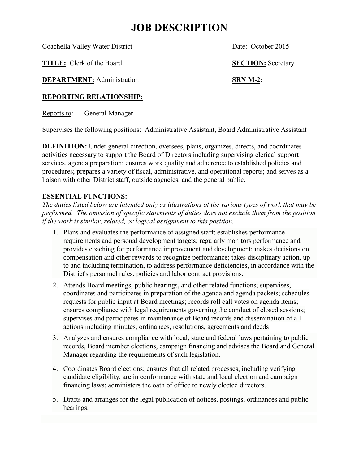## **JOB DESCRIPTION**

Coachella Valley Water District Date: October 2015

**TITLE:** Clerk of the Board **SECTION:** Secretary

**DEPARTMENT:** Administration **SRN M-2:** 

## **REPORTING RELATIONSHIP:**

Reports to: General Manager

Supervises the following positions: Administrative Assistant, Board Administrative Assistant

**DEFINITION:** Under general direction, oversees, plans, organizes, directs, and coordinates activities necessary to support the Board of Directors including supervising clerical support services, agenda preparation; ensures work quality and adherence to established policies and procedures; prepares a variety of fiscal, administrative, and operational reports; and serves as a liaison with other District staff, outside agencies, and the general public.

## **ESSENTIAL FUNCTIONS:**

*The duties listed below are intended only as illustrations of the various types of work that may be performed. The omission of specific statements of duties does not exclude them from the position if the work is similar, related, or logical assignment to this position.*

- 1. Plans and evaluates the performance of assigned staff; establishes performance requirements and personal development targets; regularly monitors performance and provides coaching for performance improvement and development; makes decisions on compensation and other rewards to recognize performance; takes disciplinary action, up to and including termination, to address performance deficiencies, in accordance with the District's personnel rules, policies and labor contract provisions.
- 2. Attends Board meetings, public hearings, and other related functions; supervises, coordinates and participates in preparation of the agenda and agenda packets; schedules requests for public input at Board meetings; records roll call votes on agenda items; ensures compliance with legal requirements governing the conduct of closed sessions; supervises and participates in maintenance of Board records and dissemination of all actions including minutes, ordinances, resolutions, agreements and deeds
- 3. Analyzes and ensures compliance with local, state and federal laws pertaining to public records, Board member elections, campaign financing and advises the Board and General Manager regarding the requirements of such legislation.
- 4. Coordinates Board elections; ensures that all related processes, including verifying candidate eligibility, are in conformance with state and local election and campaign financing laws; administers the oath of office to newly elected directors.
- 5. Drafts and arranges for the legal publication of notices, postings, ordinances and public hearings.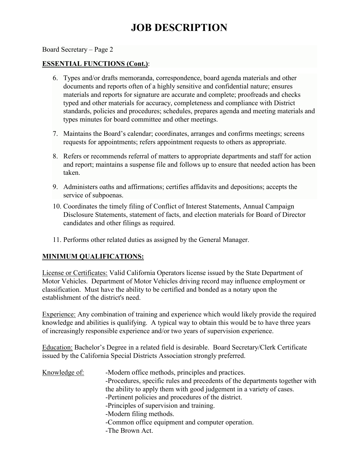# **JOB DESCRIPTION**

Board Secretary – Page 2

#### **ESSENTIAL FUNCTIONS (Cont.)**:

- 6. Types and/or drafts memoranda, correspondence, board agenda materials and other documents and reports often of a highly sensitive and confidential nature; ensures materials and reports for signature are accurate and complete; proofreads and checks typed and other materials for accuracy, completeness and compliance with District standards, policies and procedures; schedules, prepares agenda and meeting materials and types minutes for board committee and other meetings.
- 7. Maintains the Board's calendar; coordinates, arranges and confirms meetings; screens requests for appointments; refers appointment requests to others as appropriate.
- 8. Refers or recommends referral of matters to appropriate departments and staff for action and report; maintains a suspense file and follows up to ensure that needed action has been taken.
- 9. Administers oaths and affirmations; certifies affidavits and depositions; accepts the service of subpoenas.
- 10. Coordinates the timely filing of Conflict of Interest Statements, Annual Campaign Disclosure Statements, statement of facts, and election materials for Board of Director candidates and other filings as required.
- 11. Performs other related duties as assigned by the General Manager.

### **MINIMUM QUALIFICATIONS:**

License or Certificates: Valid California Operators license issued by the State Department of Motor Vehicles. Department of Motor Vehicles driving record may influence employment or classification. Must have the ability to be certified and bonded as a notary upon the establishment of the district's need.

Experience: Any combination of training and experience which would likely provide the required knowledge and abilities is qualifying. A typical way to obtain this would be to have three years of increasingly responsible experience and/or two years of supervision experience.

Education: Bachelor's Degree in a related field is desirable. Board Secretary/Clerk Certificate issued by the California Special Districts Association strongly preferred.

Knowledge of: -Modern office methods, principles and practices. -Procedures, specific rules and precedents of the departments together with the ability to apply them with good judgement in a variety of cases. -Pertinent policies and procedures of the district. -Principles of supervision and training. -Modern filing methods. -Common office equipment and computer operation. -The Brown Act.